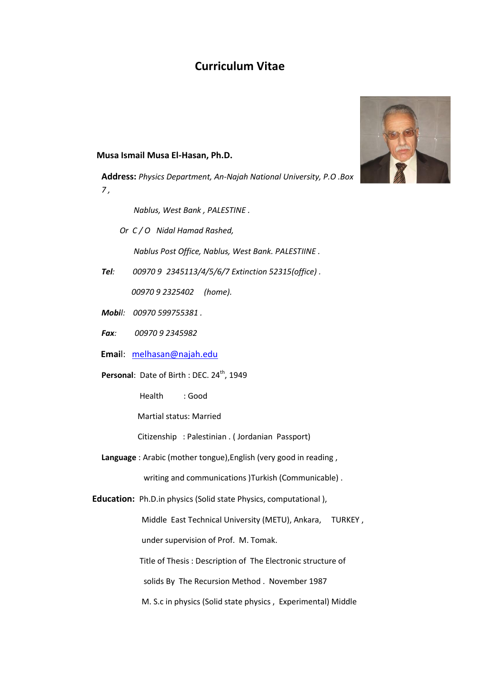# **Curriculum Vitae**

 **Musa Ismail Musa El-Hasan, Ph.D.**

**Address:** *Physics Department, An-Najah National University, P.O .Box 7 ,* 

 *Nablus, West Bank , PALESTINE .*

 *Or C / O Nidal Hamad Rashed, Nablus Post Office, Nablus, West Bank. PALESTIINE .*

*Tel: 00970 9 2345113/4/5/6/7 Extinction 52315(office) .*

 *00970 9 2325402 (home).*

- *Mobil: 00970 599755381 .*
- *Fax: 00970 9 2345982*

 **Emai**l: [melhasan@najah.edu](mailto:melhasan@najah.edu)

Personal: Date of Birth : DEC. 24<sup>th</sup>, 1949

Health : Good

Martial status: Married

Citizenship : Palestinian . ( Jordanian Passport)

**Language** : Arabic (mother tongue),English (very good in reading ,

writing and communications )Turkish (Communicable).

 **Education:** Ph.D.in physics (Solid state Physics, computational ),

Middle East Technical University (METU), Ankara, TURKEY ,

under supervision of Prof. M. Tomak.

Title of Thesis : Description of The Electronic structure of

solids By The Recursion Method . November 1987

M. S.c in physics (Solid state physics , Experimental) Middle

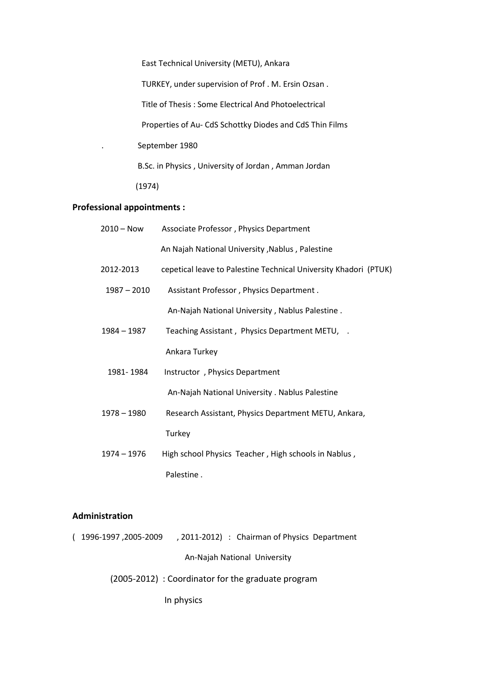East Technical University (METU), Ankara TURKEY, under supervision of Prof . M. Ersin Ozsan . Title of Thesis : Some Electrical And Photoelectrical Properties of Au- CdS Schottky Diodes and CdS Thin Films . September 1980 B.Sc. in Physics , University of Jordan , Amman Jordan (1974)

# **Professional appointments :**

| $2010 - Now$  |               | Associate Professor, Physics Department                          |
|---------------|---------------|------------------------------------------------------------------|
|               |               | An Najah National University, Nablus, Palestine                  |
| 2012-2013     |               | cepetical leave to Palestine Technical University Khadori (PTUK) |
|               | $1987 - 2010$ | Assistant Professor, Physics Department.                         |
|               |               | An-Najah National University, Nablus Palestine.                  |
| 1984 - 1987   |               | Teaching Assistant, Physics Department METU, .                   |
|               |               | Ankara Turkey                                                    |
|               | 1981-1984     | Instructor, Physics Department                                   |
|               |               | An-Najah National University . Nablus Palestine                  |
| $1978 - 1980$ |               | Research Assistant, Physics Department METU, Ankara,             |
|               |               | Turkey                                                           |
| $1974 - 1976$ |               | High school Physics Teacher, High schools in Nablus,             |
|               |               | Palestine.                                                       |

# **Administration**

( 1996-1997 ,2005-2009 , 2011-2012) : Chairman of Physics Department An-Najah National University

(2005-2012) : Coordinator for the graduate program

In physics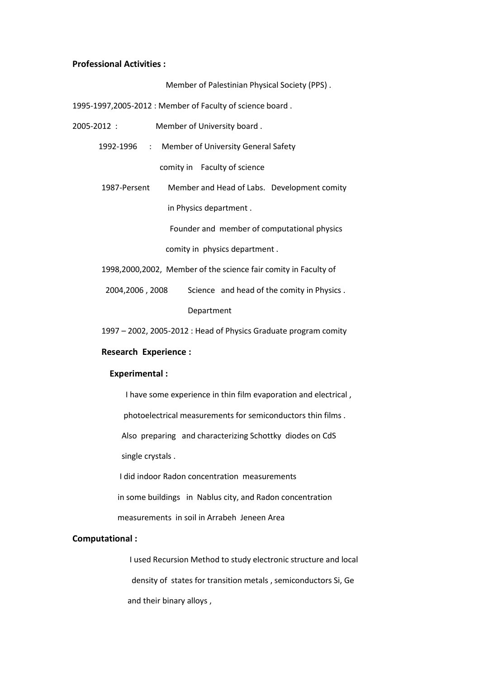#### **Professional Activities :**

Member of Palestinian Physical Society (PPS) .

1995-1997,2005-2012 : Member of Faculty of science board .

- 2005-2012 : Member of University board .
	- 1992-1996 : Member of University General Safety comity in Faculty of science
	- 1987-Persent Member and Head of Labs. Development comity in Physics department .

Founder and member of computational physics

comity in physics department .

1998,2000,2002, Member of the science fair comity in Faculty of

2004,2006 , 2008 Science and head of the comity in Physics .

Department

1997 – 2002, 2005-2012 : Head of Physics Graduate program comity

### **Research Experience :**

#### **Experimental :**

I have some experience in thin film evaporation and electrical ,

photoelectrical measurements for semiconductors thin films .

Also preparing and characterizing Schottky diodes on CdS

single crystals .

I did indoor Radon concentration measurements

in some buildings in Nablus city, and Radon concentration

measurements in soil in Arrabeh Jeneen Area

### **Computational :**

I used Recursion Method to study electronic structure and local density of states for transition metals , semiconductors Si, Ge and their binary alloys ,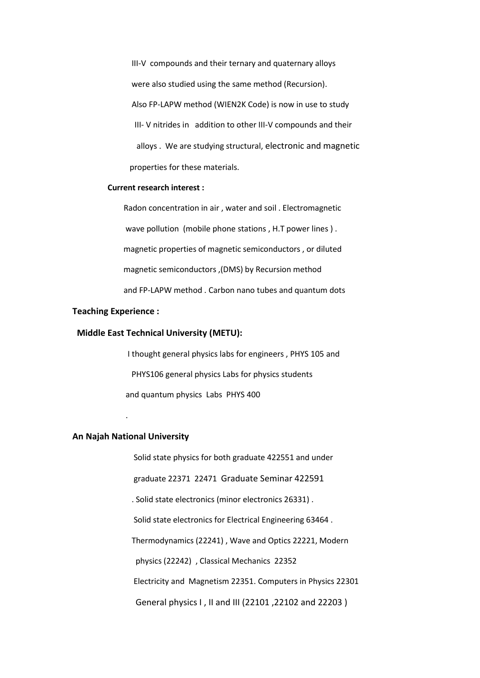III-V compounds and their ternary and quaternary alloys were also studied using the same method (Recursion). Also FP-LAPW method (WIEN2K Code) is now in use to study III- V nitrides in addition to other III-V compounds and their alloys . We are studying structural, electronic and magnetic properties for these materials.

#### **Current research interest :**

 Radon concentration in air , water and soil . Electromagnetic wave pollution (mobile phone stations , H.T power lines ) . magnetic properties of magnetic semiconductors , or diluted magnetic semiconductors ,(DMS) by Recursion method and FP-LAPW method . Carbon nano tubes and quantum dots

#### **Teaching Experience :**

#### **Middle East Technical University (METU):**

 I thought general physics labs for engineers , PHYS 105 and PHYS106 general physics Labs for physics students and quantum physics Labs PHYS 400

### **An Najah National University**

.

 Solid state physics for both graduate 422551 and under graduate 22371 22471 Graduate Seminar 422591 . Solid state electronics (minor electronics 26331) . Solid state electronics for Electrical Engineering 63464 . Thermodynamics (22241) , Wave and Optics 22221, Modern physics (22242) , Classical Mechanics 22352 Electricity and Magnetism 22351. Computers in Physics 22301 General physics I , II and III (22101 ,22102 and 22203 )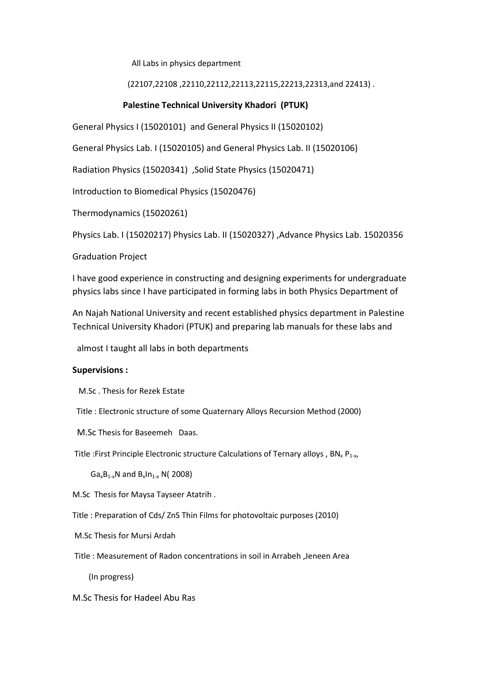All Labs in physics department

# (22107,22108 ,22110,22112,22113,22115,22213,22313,and 22413) .

# **Palestine Technical University Khadori (PTUK)**

General Physics I (15020101) and General Physics II (15020102)

General Physics Lab. I (15020105) and General Physics Lab. II (15020106)

Radiation Physics (15020341) ,Solid State Physics (15020471)

Introduction to Biomedical Physics (15020476)

Thermodynamics (15020261)

Physics Lab. I (15020217) Physics Lab. II (15020327) ,Advance Physics Lab. 15020356

Graduation Project

I have good experience in constructing and designing experiments for undergraduate physics labs since I have participated in forming labs in both Physics Department of

An Najah National University and recent established physics department in Palestine Technical University Khadori (PTUK) and preparing lab manuals for these labs and

almost I taught all labs in both departments

### **Supervisions :**

M.Sc . Thesis for Rezek Estate

Title : Electronic structure of some Quaternary Alloys Recursion Method (2000)

M.Sc Thesis for Baseemeh Daas.

Title :First Principle Electronic structure Calculations of Ternary alloys , BN<sub>x</sub> P<sub>1-x</sub>,

 $Ga_xB_{1-x}N$  and  $B_xIn_{1-x}N(2008)$ 

M.Sc Thesis for Maysa Tayseer Atatrih .

Title : Preparation of Cds/ ZnS Thin Films for photovoltaic purposes (2010)

M.Sc Thesis for Mursi Ardah

Title : Measurement of Radon concentrations in soil in Arrabeh ,Jeneen Area

(In progress)

M.Sc Thesis for Hadeel Abu Ras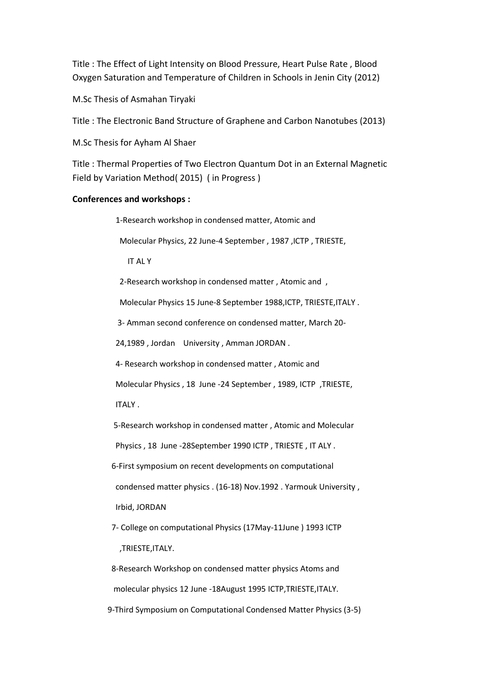Title : The Effect of Light Intensity on Blood Pressure, Heart Pulse Rate , Blood Oxygen Saturation and Temperature of Children in Schools in Jenin City (2012)

M.Sc Thesis of Asmahan Tiryaki

Title : The Electronic Band Structure of Graphene and Carbon Nanotubes (2013)

M.Sc Thesis for Ayham Al Shaer

Title : Thermal Properties of Two Electron Quantum Dot in an External Magnetic Field by Variation Method( 2015) ( in Progress )

### **Conferences and workshops :**

1-Research workshop in condensed matter, Atomic and

Molecular Physics, 22 June-4 September , 1987 ,ICTP , TRIESTE,

IT AL Y

2-Research workshop in condensed matter , Atomic and ,

Molecular Physics 15 June-8 September 1988,ICTP, TRIESTE,ITALY .

3- Amman second conference on condensed matter, March 20-

24,1989 , Jordan University , Amman JORDAN .

4- Research workshop in condensed matter , Atomic and

Molecular Physics , 18 June -24 September , 1989, ICTP ,TRIESTE,

ITALY .

5-Research workshop in condensed matter , Atomic and Molecular

Physics , 18 June -28September 1990 ICTP , TRIESTE , IT ALY .

6-First symposium on recent developments on computational

condensed matter physics . (16-18) Nov.1992 . Yarmouk University ,

Irbid, JORDAN

 7- College on computational Physics (17May-11June ) 1993 ICTP ,TRIESTE,ITALY.

 8-Research Workshop on condensed matter physics Atoms and molecular physics 12 June -18August 1995 ICTP,TRIESTE,ITALY. 9-Third Symposium on Computational Condensed Matter Physics (3-5)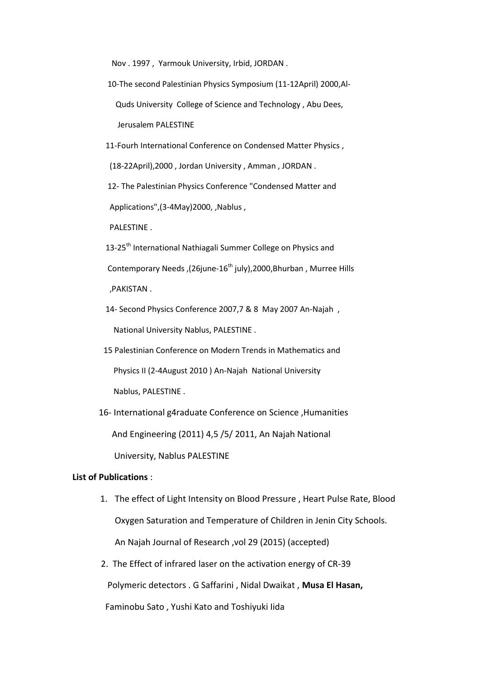Nov . 1997 , Yarmouk University, Irbid, JORDAN .

- 10-The second Palestinian Physics Symposium (11-12April) 2000,Al- Quds University College of Science and Technology , Abu Dees, Jerusalem PALESTINE
- 11-Fourh International Conference on Condensed Matter Physics ,

(18-22April),2000 , Jordan University , Amman , JORDAN .

 12- The Palestinian Physics Conference "Condensed Matter and Applications", (3-4May) 2000, , Nablus ,

PALESTINE .

13-25<sup>th</sup> International Nathiagali Summer College on Physics and Contemporary Needs, (26june-16<sup>th</sup> july), 2000, Bhurban, Murree Hills ,PAKISTAN .

- 14- Second Physics Conference 2007,7 & 8 May 2007 An-Najah , National University Nablus, PALESTINE .
- 15 Palestinian Conference on Modern Trends in Mathematics and Physics II (2-4August 2010 ) An-Najah National University Nablus, PALESTINE .
- 16- International g4raduate Conference on Science ,Humanities And Engineering (2011) 4,5 /5/ 2011, An Najah National University, Nablus PALESTINE

#### **List of Publications** :

- 1. The effect of Light Intensity on Blood Pressure , Heart Pulse Rate, Blood Oxygen Saturation and Temperature of Children in Jenin City Schools. An Najah Journal of Research ,vol 29 (2015) (accepted)
- 2. The Effect of infrared laser on the activation energy of CR-39

Polymeric detectors . G Saffarini , Nidal Dwaikat , **Musa El Hasan,**

Faminobu Sato , Yushi Kato and Toshiyuki Iida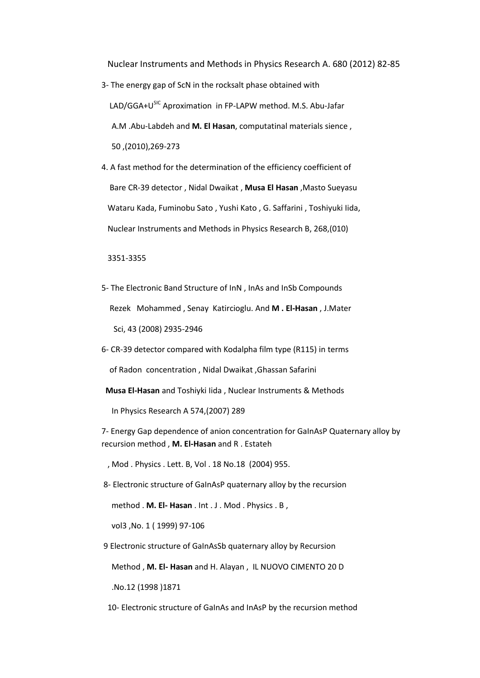Nuclear Instruments and Methods in Physics Research A. 680 (2012) 82-85

- 3- The energy gap of ScN in the rocksalt phase obtained with LAD/GGA+U<sup>SIC</sup> Aproximation in FP-LAPW method. M.S. Abu-Jafar A.M .Abu-Labdeh and **M. El Hasan**, computatinal materials sience , 50 ,(2010),269-273
- 4. A fast method for the determination of the efficiency coefficient of Bare CR-39 detector , Nidal Dwaikat , **Musa El Hasan** ,Masto Sueyasu Wataru Kada, Fuminobu Sato , Yushi Kato , G. Saffarini , Toshiyuki Iida, Nuclear Instruments and Methods in Physics Research B, 268,(010)

3351-3355

- 5- The Electronic Band Structure of InN , InAs and InSb Compounds Rezek Mohammed , Senay Katircioglu. And **M . El-Hasan** , J.Mater Sci, 43 (2008) 2935-2946
- 6- CR-39 detector compared with Kodalpha film type (R115) in terms

of Radon concentration , Nidal Dwaikat ,Ghassan Safarini

**Musa El-Hasan** and Toshiyki Iida , Nuclear Instruments & Methods

In Physics Research A 574,(2007) 289

7- Energy Gap dependence of anion concentration for GaInAsP Quaternary alloy by recursion method , **M. El-Hasan** and R . Estateh

, Mod . Physics . Lett. B, Vol . 18 No.18 (2004) 955.

8- Electronic structure of GaInAsP quaternary alloy by the recursion

method . **M. El- Hasan** . Int . J . Mod . Physics . B ,

vol3 ,No. 1 ( 1999) 97-106

9 Electronic structure of GaInAsSb quaternary alloy by Recursion

Method , **M. El- Hasan** and H. Alayan , IL NUOVO CIMENTO 20 D

.No.12 (1998 )1871

10- Electronic structure of GaInAs and InAsP by the recursion method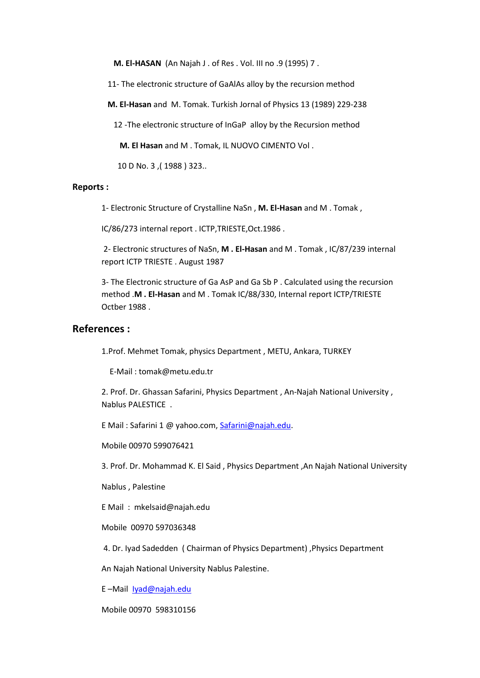**M. El-HASAN** (An Najah J . of Res . Vol. III no .9 (1995) 7 .

11- The electronic structure of GaAlAs alloy by the recursion method

**M. El-Hasan** and M. Tomak. Turkish Jornal of Physics 13 (1989) 229-238

12 -The electronic structure of InGaP alloy by the Recursion method

**M. El Hasan** and M . Tomak, IL NUOVO CIMENTO Vol .

10 D No. 3 ,( 1988 ) 323..

#### **Reports :**

1- Electronic Structure of Crystalline NaSn , **M. El-Hasan** and M . Tomak ,

IC/86/273 internal report . ICTP,TRIESTE,Oct.1986 .

2- Electronic structures of NaSn, **M . El-Hasan** and M . Tomak , IC/87/239 internal report ICTP TRIESTE . August 1987

3- The Electronic structure of Ga AsP and Ga Sb P . Calculated using the recursion method .**M . El-Hasan** and M . Tomak IC/88/330, Internal report ICTP/TRIESTE Octber 1988 .

# **References :**

1.Prof. Mehmet Tomak, physics Department , METU, Ankara, TURKEY

E-Mail : tomak@metu.edu.tr

2. Prof. Dr. Ghassan Safarini, Physics Department , An-Najah National University , Nablus PALESTICE .

E Mail : Safarini 1 @ yahoo.com[, Safarini@najah.edu.](mailto:Safarini@najah.edu)

Mobile 00970 599076421

3. Prof. Dr. Mohammad K. El Said , Physics Department ,An Najah National University

Nablus , Palestine

E Mail : mkelsaid@najah.edu

Mobile 00970 597036348

4. Dr. Iyad Sadedden ( Chairman of Physics Department) ,Physics Department

An Najah National University Nablus Palestine.

E –Mail [Iyad@najah.edu](mailto:Iyad@najah.edu)

Mobile 00970 598310156